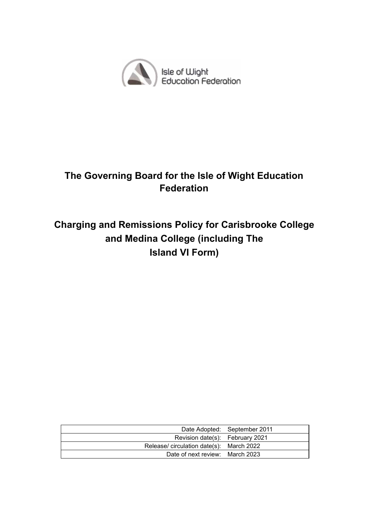

# **The Governing Board for the Isle of Wight Education Federation**

# **Charging and Remissions Policy for Carisbrooke College and Medina College (including The Island VI Form)**

|                                          | Date Adopted: September 2011 |
|------------------------------------------|------------------------------|
| Revision date(s): February 2021          |                              |
| Release/ circulation date(s): March 2022 |                              |
| Date of next review: March 2023          |                              |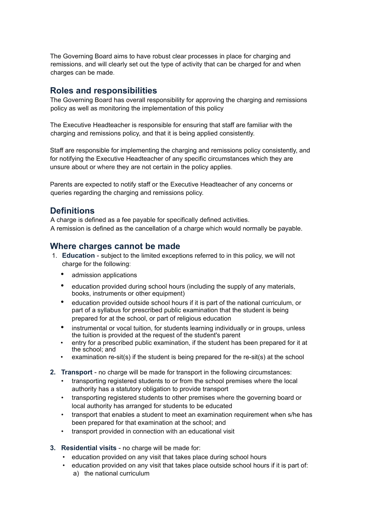The Governing Board aims to have robust clear processes in place for charging and remissions, and will clearly set out the type of activity that can be charged for and when charges can be made.

### **Roles and responsibilities**

The Governing Board has overall responsibility for approving the charging and remissions policy as well as monitoring the implementation of this policy

The Executive Headteacher is responsible for ensuring that staff are familiar with the charging and remissions policy, and that it is being applied consistently.

Staff are responsible for implementing the charging and remissions policy consistently, and for notifying the Executive Headteacher of any specific circumstances which they are unsure about or where they are not certain in the policy applies.

Parents are expected to notify staff or the Executive Headteacher of any concerns or queries regarding the charging and remissions policy.

### **Definitions**

A charge is defined as a fee payable for specifically defined activities. A remission is defined as the cancellation of a charge which would normally be payable.

### **Where charges cannot be made**

- 1. **Education** subject to the limited exceptions referred to in this policy, we will not charge for the following:
	- admission applications
	- education provided during school hours (including the supply of any materials, books, instruments or other equipment)
	- education provided outside school hours if it is part of the national curriculum, or part of a syllabus for prescribed public examination that the student is being prepared for at the school, or part of religious education
	- instrumental or vocal tuition, for students learning individually or in groups, unless the tuition is provided at the request of the student's parent
	- entry for a prescribed public examination, if the student has been prepared for it at the school; and
	- examination re-sit(s) if the student is being prepared for the re-sit(s) at the school
- **2. Transport** no charge will be made for transport in the following circumstances:
	- transporting registered students to or from the school premises where the local authority has a statutory obligation to provide transport
	- transporting registered students to other premises where the governing board or local authority has arranged for students to be educated
	- transport that enables a student to meet an examination requirement when s/he has been prepared for that examination at the school; and
	- transport provided in connection with an educational visit
- **3. Residential visits** no charge will be made for:
	- education provided on any visit that takes place during school hours
	- education provided on any visit that takes place outside school hours if it is part of: a) the national curriculum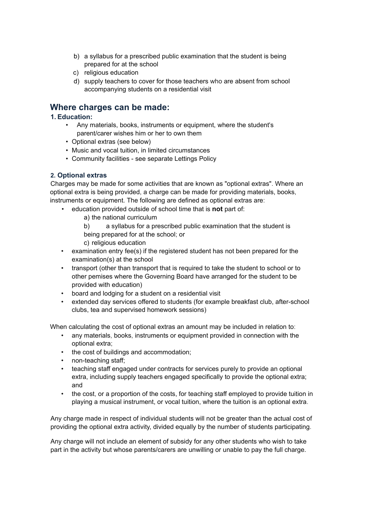- b) a syllabus for a prescribed public examination that the student is being prepared for at the school
- c) religious education
- d) supply teachers to cover for those teachers who are absent from school accompanying students on a residential visit

### **Where charges can be made:**

#### **1. Education:**

- Any materials, books, instruments or equipment, where the student's parent/carer wishes him or her to own them
- Optional extras (see below)
- Music and vocal tuition, in limited circumstances
- Community facilities see separate Lettings Policy

#### **2. Optional extras**

Charges may be made for some activities that are known as "optional extras". Where an optional extra is being provided, a charge can be made for providing materials, books, instruments or equipment. The following are defined as optional extras are:

- education provided outside of school time that is **not** part of:
	- a) the national curriculum
	- b) a syllabus for a prescribed public examination that the student is being prepared for at the school; or
	- c) religious education
- examination entry fee(s) if the registered student has not been prepared for the examination(s) at the school
- transport (other than transport that is required to take the student to school or to other pemises where the Governing Board have arranged for the student to be provided with education)
- board and lodging for a student on a residential visit
- extended day services offered to students (for example breakfast club, after-school clubs, tea and supervised homework sessions)

When calculating the cost of optional extras an amount may be included in relation to:

- any materials, books, instruments or equipment provided in connection with the optional extra;
- the cost of buildings and accommodation;
- non-teaching staff;
- teaching staff engaged under contracts for services purely to provide an optional extra, including supply teachers engaged specifically to provide the optional extra; and
- the cost, or a proportion of the costs, for teaching staff employed to provide tuition in playing a musical instrument, or vocal tuition, where the tuition is an optional extra.

Any charge made in respect of individual students will not be greater than the actual cost of providing the optional extra activity, divided equally by the number of students participating.

Any charge will not include an element of subsidy for any other students who wish to take part in the activity but whose parents/carers are unwilling or unable to pay the full charge.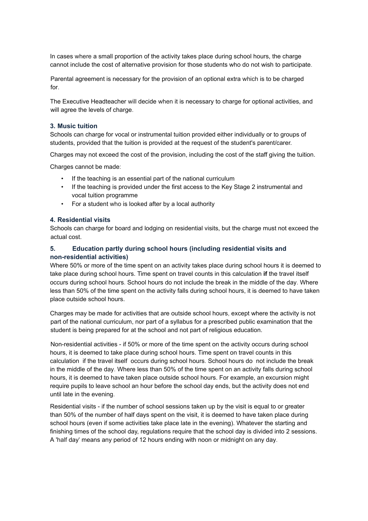In cases where a small proportion of the activity takes place during school hours, the charge cannot include the cost of alternative provision for those students who do not wish to participate.

Parental agreement is necessary for the provision of an optional extra which is to be charged for.

The Executive Headteacher will decide when it is necessary to charge for optional activities, and will agree the levels of charge.

#### **3. Music tuition**

Schools can charge for vocal or instrumental tuition provided either individually or to groups of students, provided that the tuition is provided at the request of the student's parent/carer.

Charges may not exceed the cost of the provision, including the cost of the staff giving the tuition.

Charges cannot be made:

- If the teaching is an essential part of the national curriculum
- If the teaching is provided under the first access to the Key Stage 2 instrumental and vocal tuition programme
- For a student who is looked after by a local authority

#### **4. Residential visits**

Schools can charge for board and lodging on residential visits, but the charge must not exceed the actual cost.

#### **5. Education partly during school hours (including residential visits and non-residential activities)**

Where 50% or more of the time spent on an activity takes place during school hours it is deemed to take place during school hours. Time spent on travel counts in this calculation **if** the travel itself occurs during school hours. School hours do not include the break in the middle of the day. Where less than 50% of the time spent on the activity falls during school hours, it is deemed to have taken place outside school hours.

Charges may be made for activities that are outside school hours, except where the activity is not part of the national curriculum, nor part of a syllabus for a prescribed public examination that the student is being prepared for at the school and not part of religious education.

Non-residential activities - if 50% or more of the time spent on the activity occurs during school hours, it is deemed to take place during school hours. Time spent on travel counts in this calculation if the travel itself occurs during school hours. School hours do not include the break in the middle of the day. Where less than 50% of the time spent on an activity falls during school hours, it is deemed to have taken place outside school hours. For example, an excursion might require pupils to leave school an hour before the school day ends, but the activity does not end until late in the evening.

Residential visits - if the number of school sessions taken up by the visit is equal to or greater than 50% of the number of half days spent on the visit, it is deemed to have taken place during school hours (even if some activities take place late in the evening). Whatever the starting and finishing times of the school day, regulations require that the school day is divided into 2 sessions. A 'half day' means any period of 12 hours ending with noon or midnight on any day.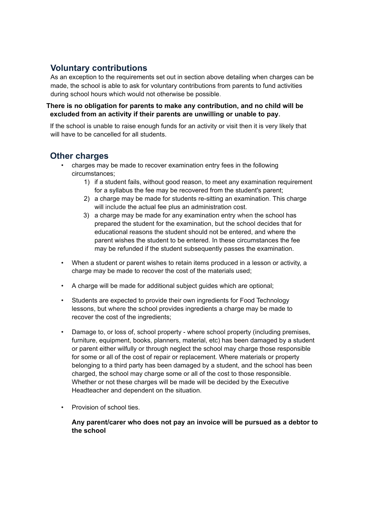## **Voluntary contributions**

As an exception to the requirements set out in section above detailing when charges can be made, the school is able to ask for voluntary contributions from parents to fund activities during school hours which would not otherwise be possible.

#### **There is no obligation for parents to make any contribution, and no child will be excluded from an activity if their parents are unwilling or unable to pay.**

If the school is unable to raise enough funds for an activity or visit then it is very likely that will have to be cancelled for all students.

### **Other charges**

- charges may be made to recover examination entry fees in the following circumstances;
	- 1) if a student fails, without good reason, to meet any examination requirement for a syllabus the fee may be recovered from the student's parent;
	- 2) a charge may be made for students re-sitting an examination. This charge will include the actual fee plus an administration cost.
	- 3) a charge may be made for any examination entry when the school has prepared the student for the examination, but the school decides that for educational reasons the student should not be entered, and where the parent wishes the student to be entered. In these circumstances the fee may be refunded if the student subsequently passes the examination.
- When a student or parent wishes to retain items produced in a lesson or activity, a charge may be made to recover the cost of the materials used;
- A charge will be made for additional subject guides which are optional;
- Students are expected to provide their own ingredients for Food Technology lessons, but where the school provides ingredients a charge may be made to recover the cost of the ingredients;
- Damage to, or loss of, school property where school property (including premises, furniture, equipment, books, planners, material, etc) has been damaged by a student or parent either wilfully or through neglect the school may charge those responsible for some or all of the cost of repair or replacement. Where materials or property belonging to a third party has been damaged by a student, and the school has been charged, the school may charge some or all of the cost to those responsible. Whether or not these charges will be made will be decided by the Executive Headteacher and dependent on the situation.
- Provision of school ties.

**Any parent/carer who does not pay an invoice will be pursued as a debtor to the school**